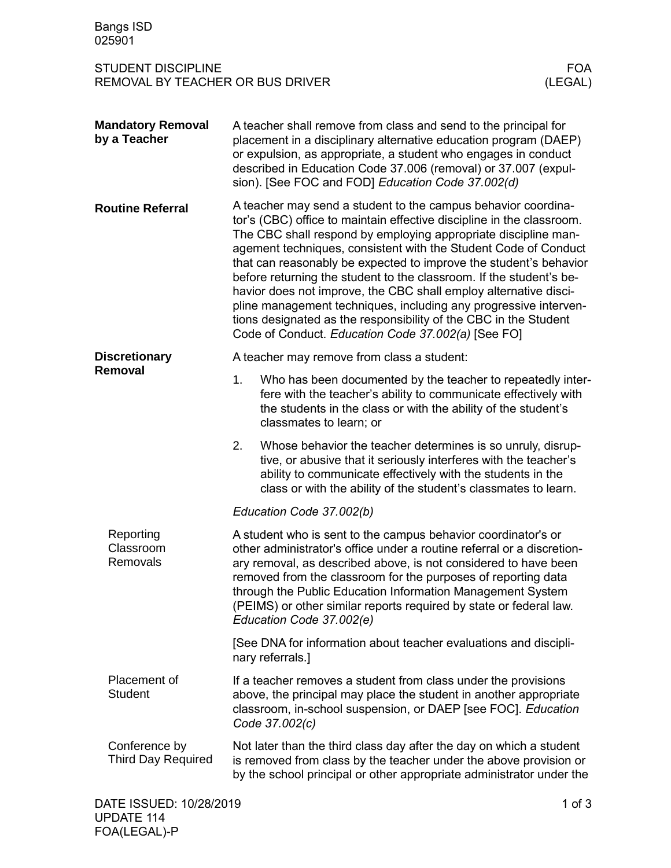| <b>Bangs ISD</b><br>025901                                                             |                                                                                                                                                                                                                                                                                                                                                                                                                                                                                                                                                                                                                                                                                           |                                                                                                                                                                                                                                                                   |            |  |
|----------------------------------------------------------------------------------------|-------------------------------------------------------------------------------------------------------------------------------------------------------------------------------------------------------------------------------------------------------------------------------------------------------------------------------------------------------------------------------------------------------------------------------------------------------------------------------------------------------------------------------------------------------------------------------------------------------------------------------------------------------------------------------------------|-------------------------------------------------------------------------------------------------------------------------------------------------------------------------------------------------------------------------------------------------------------------|------------|--|
| <b>STUDENT DISCIPLINE</b><br><b>FOA</b><br>REMOVAL BY TEACHER OR BUS DRIVER<br>(LEGAL) |                                                                                                                                                                                                                                                                                                                                                                                                                                                                                                                                                                                                                                                                                           |                                                                                                                                                                                                                                                                   |            |  |
| <b>Mandatory Removal</b><br>by a Teacher                                               | A teacher shall remove from class and send to the principal for<br>placement in a disciplinary alternative education program (DAEP)<br>or expulsion, as appropriate, a student who engages in conduct<br>described in Education Code 37.006 (removal) or 37.007 (expul-<br>sion). [See FOC and FOD] Education Code 37.002(d)                                                                                                                                                                                                                                                                                                                                                              |                                                                                                                                                                                                                                                                   |            |  |
| <b>Routine Referral</b>                                                                | A teacher may send a student to the campus behavior coordina-<br>tor's (CBC) office to maintain effective discipline in the classroom.<br>The CBC shall respond by employing appropriate discipline man-<br>agement techniques, consistent with the Student Code of Conduct<br>that can reasonably be expected to improve the student's behavior<br>before returning the student to the classroom. If the student's be-<br>havior does not improve, the CBC shall employ alternative disci-<br>pline management techniques, including any progressive interven-<br>tions designated as the responsibility of the CBC in the Student<br>Code of Conduct. Education Code 37.002(a) [See FO] |                                                                                                                                                                                                                                                                   |            |  |
| <b>Discretionary</b><br>Removal                                                        |                                                                                                                                                                                                                                                                                                                                                                                                                                                                                                                                                                                                                                                                                           | A teacher may remove from class a student:                                                                                                                                                                                                                        |            |  |
|                                                                                        | 1.                                                                                                                                                                                                                                                                                                                                                                                                                                                                                                                                                                                                                                                                                        | Who has been documented by the teacher to repeatedly inter-<br>fere with the teacher's ability to communicate effectively with<br>the students in the class or with the ability of the student's<br>classmates to learn; or                                       |            |  |
|                                                                                        | 2.                                                                                                                                                                                                                                                                                                                                                                                                                                                                                                                                                                                                                                                                                        | Whose behavior the teacher determines is so unruly, disrup-<br>tive, or abusive that it seriously interferes with the teacher's<br>ability to communicate effectively with the students in the<br>class or with the ability of the student's classmates to learn. |            |  |
|                                                                                        | Education Code 37.002(b)                                                                                                                                                                                                                                                                                                                                                                                                                                                                                                                                                                                                                                                                  |                                                                                                                                                                                                                                                                   |            |  |
| Reporting<br>Classroom<br>Removals                                                     | A student who is sent to the campus behavior coordinator's or<br>other administrator's office under a routine referral or a discretion-<br>ary removal, as described above, is not considered to have been<br>removed from the classroom for the purposes of reporting data<br>through the Public Education Information Management System<br>(PEIMS) or other similar reports required by state or federal law.<br>Education Code 37.002(e)                                                                                                                                                                                                                                               |                                                                                                                                                                                                                                                                   |            |  |
|                                                                                        | [See DNA for information about teacher evaluations and discipli-<br>nary referrals.]                                                                                                                                                                                                                                                                                                                                                                                                                                                                                                                                                                                                      |                                                                                                                                                                                                                                                                   |            |  |
| Placement of<br><b>Student</b>                                                         | If a teacher removes a student from class under the provisions<br>above, the principal may place the student in another appropriate<br>classroom, in-school suspension, or DAEP [see FOC]. Education<br>Code 37.002(c)                                                                                                                                                                                                                                                                                                                                                                                                                                                                    |                                                                                                                                                                                                                                                                   |            |  |
| Conference by<br><b>Third Day Required</b>                                             | Not later than the third class day after the day on which a student<br>is removed from class by the teacher under the above provision or<br>by the school principal or other appropriate administrator under the                                                                                                                                                                                                                                                                                                                                                                                                                                                                          |                                                                                                                                                                                                                                                                   |            |  |
| DATE ISSUED: 10/28/2019<br><b>UPDATE 114</b>                                           |                                                                                                                                                                                                                                                                                                                                                                                                                                                                                                                                                                                                                                                                                           |                                                                                                                                                                                                                                                                   | $1$ of $3$ |  |

FOA(LEGAL)-P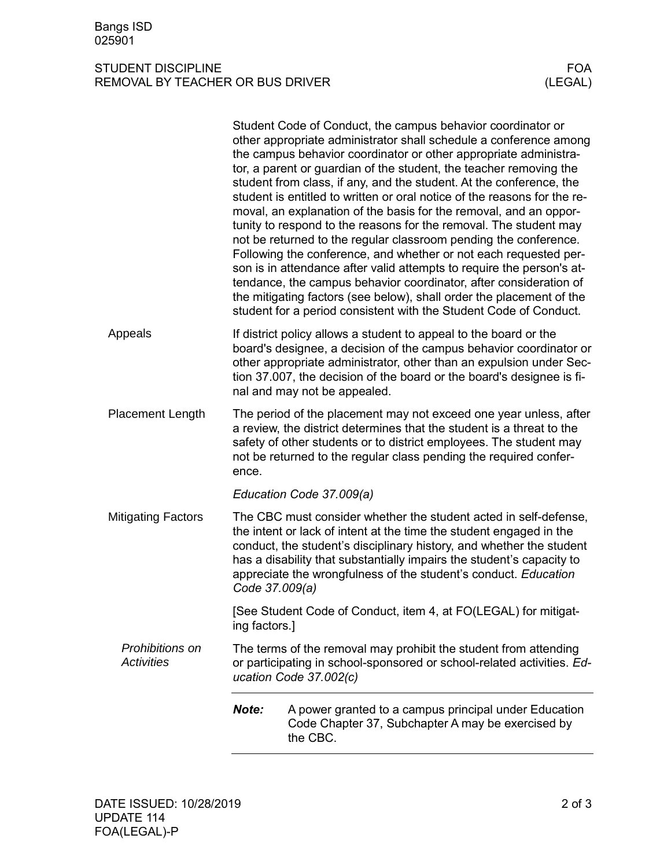## STUDENT DISCIPLINE FOA REMOVAL BY TEACHER OR BUS DRIVER

|                                      |                                                                                                                                                                                                                                                                                                                                                                               | Student Code of Conduct, the campus behavior coordinator or<br>other appropriate administrator shall schedule a conference among<br>the campus behavior coordinator or other appropriate administra-<br>tor, a parent or guardian of the student, the teacher removing the<br>student from class, if any, and the student. At the conference, the<br>student is entitled to written or oral notice of the reasons for the re-<br>moval, an explanation of the basis for the removal, and an oppor-<br>tunity to respond to the reasons for the removal. The student may<br>not be returned to the regular classroom pending the conference.<br>Following the conference, and whether or not each requested per-<br>son is in attendance after valid attempts to require the person's at-<br>tendance, the campus behavior coordinator, after consideration of<br>the mitigating factors (see below), shall order the placement of the<br>student for a period consistent with the Student Code of Conduct. |  |  |
|--------------------------------------|-------------------------------------------------------------------------------------------------------------------------------------------------------------------------------------------------------------------------------------------------------------------------------------------------------------------------------------------------------------------------------|------------------------------------------------------------------------------------------------------------------------------------------------------------------------------------------------------------------------------------------------------------------------------------------------------------------------------------------------------------------------------------------------------------------------------------------------------------------------------------------------------------------------------------------------------------------------------------------------------------------------------------------------------------------------------------------------------------------------------------------------------------------------------------------------------------------------------------------------------------------------------------------------------------------------------------------------------------------------------------------------------------|--|--|
| Appeals                              | If district policy allows a student to appeal to the board or the<br>board's designee, a decision of the campus behavior coordinator or<br>other appropriate administrator, other than an expulsion under Sec-<br>tion 37.007, the decision of the board or the board's designee is fi-<br>nal and may not be appealed.                                                       |                                                                                                                                                                                                                                                                                                                                                                                                                                                                                                                                                                                                                                                                                                                                                                                                                                                                                                                                                                                                            |  |  |
| Placement Length                     | The period of the placement may not exceed one year unless, after<br>a review, the district determines that the student is a threat to the<br>safety of other students or to district employees. The student may<br>not be returned to the regular class pending the required confer-<br>ence.                                                                                |                                                                                                                                                                                                                                                                                                                                                                                                                                                                                                                                                                                                                                                                                                                                                                                                                                                                                                                                                                                                            |  |  |
|                                      |                                                                                                                                                                                                                                                                                                                                                                               | Education Code 37.009(a)                                                                                                                                                                                                                                                                                                                                                                                                                                                                                                                                                                                                                                                                                                                                                                                                                                                                                                                                                                                   |  |  |
| <b>Mitigating Factors</b>            | The CBC must consider whether the student acted in self-defense,<br>the intent or lack of intent at the time the student engaged in the<br>conduct, the student's disciplinary history, and whether the student<br>has a disability that substantially impairs the student's capacity to<br>appreciate the wrongfulness of the student's conduct. Education<br>Code 37.009(a) |                                                                                                                                                                                                                                                                                                                                                                                                                                                                                                                                                                                                                                                                                                                                                                                                                                                                                                                                                                                                            |  |  |
|                                      | [See Student Code of Conduct, item 4, at FO(LEGAL) for mitigat-<br>ing factors.]                                                                                                                                                                                                                                                                                              |                                                                                                                                                                                                                                                                                                                                                                                                                                                                                                                                                                                                                                                                                                                                                                                                                                                                                                                                                                                                            |  |  |
| Prohibitions on<br><b>Activities</b> | The terms of the removal may prohibit the student from attending<br>or participating in school-sponsored or school-related activities. Ed-<br>ucation Code 37.002(c)                                                                                                                                                                                                          |                                                                                                                                                                                                                                                                                                                                                                                                                                                                                                                                                                                                                                                                                                                                                                                                                                                                                                                                                                                                            |  |  |
|                                      | Note:                                                                                                                                                                                                                                                                                                                                                                         | A power granted to a campus principal under Education<br>Code Chapter 37, Subchapter A may be exercised by<br>the CBC.                                                                                                                                                                                                                                                                                                                                                                                                                                                                                                                                                                                                                                                                                                                                                                                                                                                                                     |  |  |